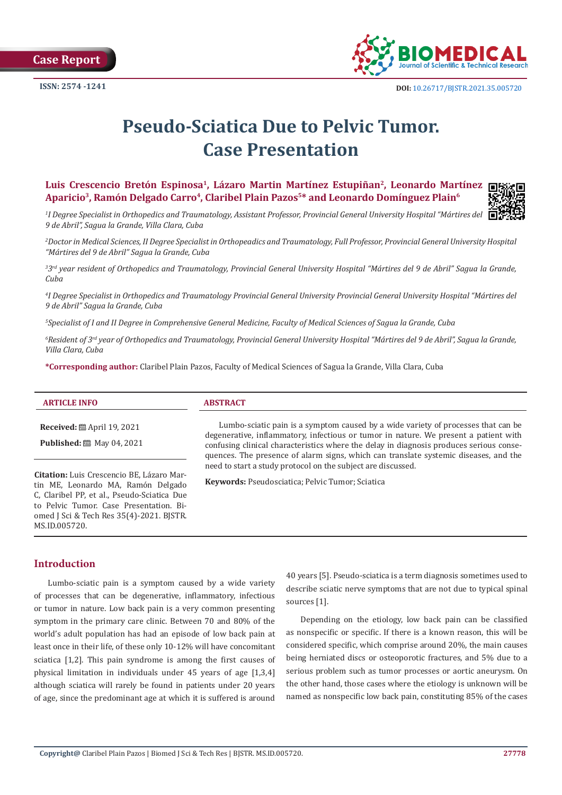**Case Report** 



# **Pseudo-Sciatica Due to Pelvic Tumor. Case Presentation**

**Luis Crescencio Bretón Espinosa1, Lázaro Martin Martínez Estupiñan2, Leonardo Martínez**  Aparicio<sup>3</sup>, Ramón Delgado Carro<sup>4</sup>, Claribel Plain Pazos<sup>5\*</sup> and Leonardo Domínguez Plain<sup>6</sup>



*1 I Degree Specialist in Orthopedics and Traumatology, Assistant Professor, Provincial General University Hospital "Mártires del 9 de Abril", Sagua la Grande, Villa Clara, Cuba* 

*2 Doctor in Medical Sciences, II Degree Specialist in Orthopeadics and Traumatology, Full Professor, Provincial General University Hospital "Mártires del 9 de Abril" Sagua la Grande, Cuba*

<sup>33rd</sup> year resident of Orthopedics and Traumatology, Provincial General University Hospital "Mártires del 9 de Abril" Sagua la Grande, *Cuba* 

*4 I Degree Specialist in Orthopedics and Traumatology Provincial General University Provincial General University Hospital "Mártires del 9 de Abril" Sagua la Grande, Cuba* 

*5 Specialist of I and II Degree in Comprehensive General Medicine, Faculty of Medical Sciences of Sagua la Grande, Cuba* 

*6 Resident of 3rd year of Orthopedics and Traumatology, Provincial General University Hospital "Mártires del 9 de Abril", Sagua la Grande, Villa Clara, Cuba* 

**\*Corresponding author:** Claribel Plain Pazos, Faculty of Medical Sciences of Sagua la Grande, Villa Clara, Cuba

**Received:** April 19, 2021

**Published:** 圖 May 04, 2021

**Citation:** Luis Crescencio BE, Lázaro Martin ME, Leonardo MA, Ramón Delgado C, Claribel PP, et al., Pseudo-Sciatica Due to Pelvic Tumor. Case Presentation. Biomed J Sci & Tech Res 35(4)-2021. BJSTR. MS.ID.005720.

Lumbo-sciatic pain is a symptom caused by a wide variety of processes that can be degenerative, inflammatory, infectious or tumor in nature. We present a patient with confusing clinical characteristics where the delay in diagnosis produces serious consequences. The presence of alarm signs, which can translate systemic diseases, and the need to start a study protocol on the subject are discussed.

**Keywords:** Pseudosciatica; Pelvic Tumor; Sciatica

## **Introduction**

Lumbo-sciatic pain is a symptom caused by a wide variety of processes that can be degenerative, inflammatory, infectious or tumor in nature. Low back pain is a very common presenting symptom in the primary care clinic. Between 70 and 80% of the world's adult population has had an episode of low back pain at least once in their life, of these only 10-12% will have concomitant sciatica [1,2]. This pain syndrome is among the first causes of physical limitation in individuals under 45 years of age [1,3,4] although sciatica will rarely be found in patients under 20 years of age, since the predominant age at which it is suffered is around

40 years [5]. Pseudo-sciatica is a term diagnosis sometimes used to describe sciatic nerve symptoms that are not due to typical spinal sources [1].

Depending on the etiology, low back pain can be classified as nonspecific or specific. If there is a known reason, this will be considered specific, which comprise around 20%, the main causes being herniated discs or osteoporotic fractures, and 5% due to a serious problem such as tumor processes or aortic aneurysm. On the other hand, those cases where the etiology is unknown will be named as nonspecific low back pain, constituting 85% of the cases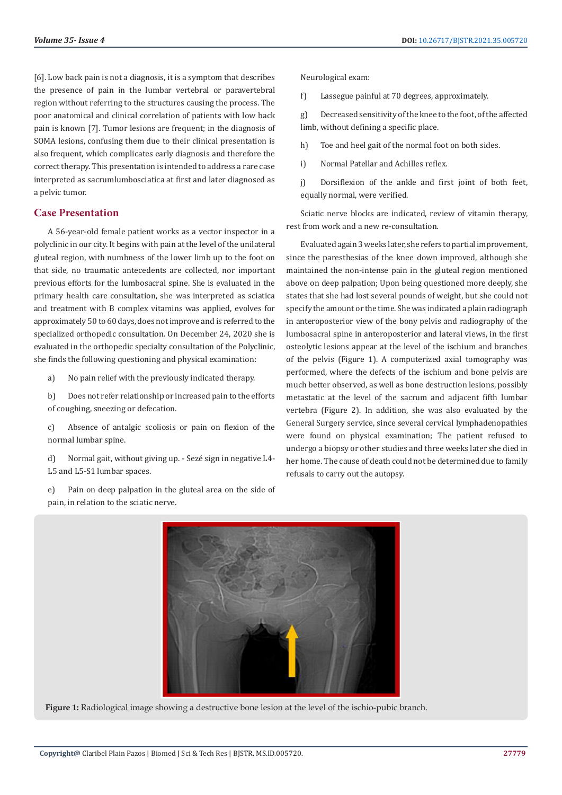[6]. Low back pain is not a diagnosis, it is a symptom that describes the presence of pain in the lumbar vertebral or paravertebral region without referring to the structures causing the process. The poor anatomical and clinical correlation of patients with low back pain is known [7]. Tumor lesions are frequent; in the diagnosis of SOMA lesions, confusing them due to their clinical presentation is also frequent, which complicates early diagnosis and therefore the correct therapy. This presentation is intended to address a rare case interpreted as sacrumlumbosciatica at first and later diagnosed as a pelvic tumor.

## **Case Presentation**

A 56-year-old female patient works as a vector inspector in a polyclinic in our city. It begins with pain at the level of the unilateral gluteal region, with numbness of the lower limb up to the foot on that side, no traumatic antecedents are collected, nor important previous efforts for the lumbosacral spine. She is evaluated in the primary health care consultation, she was interpreted as sciatica and treatment with B complex vitamins was applied, evolves for approximately 50 to 60 days, does not improve and is referred to the specialized orthopedic consultation. On December 24, 2020 she is evaluated in the orthopedic specialty consultation of the Polyclinic, she finds the following questioning and physical examination:

a) No pain relief with the previously indicated therapy.

b) Does not refer relationship or increased pain to the efforts of coughing, sneezing or defecation.

c) Absence of antalgic scoliosis or pain on flexion of the normal lumbar spine.

d) Normal gait, without giving up. - Sezé sign in negative L4- L5 and L5-S1 lumbar spaces.

e) Pain on deep palpation in the gluteal area on the side of pain, in relation to the sciatic nerve.

Neurological exam:

f) Lassegue painful at 70 degrees, approximately.

g) Decreased sensitivity of the knee to the foot, of the affected limb, without defining a specific place.

h) Toe and heel gait of the normal foot on both sides.

i) Normal Patellar and Achilles reflex.

j) Dorsiflexion of the ankle and first joint of both feet, equally normal, were verified.

Sciatic nerve blocks are indicated, review of vitamin therapy, rest from work and a new re-consultation.

Evaluated again 3 weeks later, she refers to partial improvement, since the paresthesias of the knee down improved, although she maintained the non-intense pain in the gluteal region mentioned above on deep palpation; Upon being questioned more deeply, she states that she had lost several pounds of weight, but she could not specify the amount or the time. She was indicated a plain radiograph in anteroposterior view of the bony pelvis and radiography of the lumbosacral spine in anteroposterior and lateral views, in the first osteolytic lesions appear at the level of the ischium and branches of the pelvis (Figure 1). A computerized axial tomography was performed, where the defects of the ischium and bone pelvis are much better observed, as well as bone destruction lesions, possibly metastatic at the level of the sacrum and adjacent fifth lumbar vertebra (Figure 2). In addition, she was also evaluated by the General Surgery service, since several cervical lymphadenopathies were found on physical examination; The patient refused to undergo a biopsy or other studies and three weeks later she died in her home. The cause of death could not be determined due to family refusals to carry out the autopsy.



**Figure 1:** Radiological image showing a destructive bone lesion at the level of the ischio-pubic branch.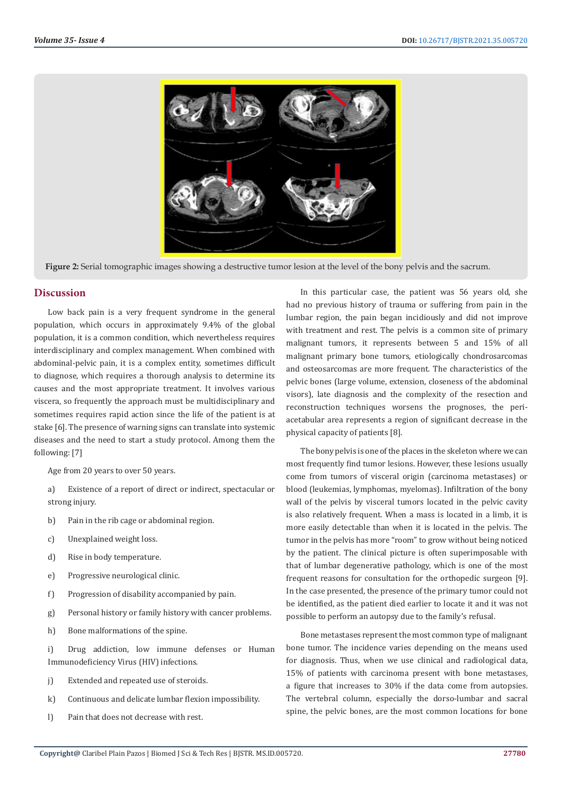

**Figure 2:** Serial tomographic images showing a destructive tumor lesion at the level of the bony pelvis and the sacrum.

#### **Discussion**

Low back pain is a very frequent syndrome in the general population, which occurs in approximately 9.4% of the global population, it is a common condition, which nevertheless requires interdisciplinary and complex management. When combined with abdominal-pelvic pain, it is a complex entity, sometimes difficult to diagnose, which requires a thorough analysis to determine its causes and the most appropriate treatment. It involves various viscera, so frequently the approach must be multidisciplinary and sometimes requires rapid action since the life of the patient is at stake [6]. The presence of warning signs can translate into systemic diseases and the need to start a study protocol. Among them the following: [7]

Age from 20 years to over 50 years.

- a) Existence of a report of direct or indirect, spectacular or strong injury.
- b) Pain in the rib cage or abdominal region.
- c) Unexplained weight loss.
- d) Rise in body temperature.
- e) Progressive neurological clinic.
- f) Progression of disability accompanied by pain.
- g) Personal history or family history with cancer problems.
- h) Bone malformations of the spine.
- i) Drug addiction, low immune defenses or Human Immunodeficiency Virus (HIV) infections.
- j) Extended and repeated use of steroids.
- k) Continuous and delicate lumbar flexion impossibility.
- l) Pain that does not decrease with rest.

In this particular case, the patient was 56 years old, she had no previous history of trauma or suffering from pain in the lumbar region, the pain began incidiously and did not improve with treatment and rest. The pelvis is a common site of primary malignant tumors, it represents between 5 and 15% of all malignant primary bone tumors, etiologically chondrosarcomas and osteosarcomas are more frequent. The characteristics of the pelvic bones (large volume, extension, closeness of the abdominal visors), late diagnosis and the complexity of the resection and reconstruction techniques worsens the prognoses, the periacetabular area represents a region of significant decrease in the physical capacity of patients [8].

The bony pelvis is one of the places in the skeleton where we can most frequently find tumor lesions. However, these lesions usually come from tumors of visceral origin (carcinoma metastases) or blood (leukemias, lymphomas, myelomas). Infiltration of the bony wall of the pelvis by visceral tumors located in the pelvic cavity is also relatively frequent. When a mass is located in a limb, it is more easily detectable than when it is located in the pelvis. The tumor in the pelvis has more "room" to grow without being noticed by the patient. The clinical picture is often superimposable with that of lumbar degenerative pathology, which is one of the most frequent reasons for consultation for the orthopedic surgeon [9]. In the case presented, the presence of the primary tumor could not be identified, as the patient died earlier to locate it and it was not possible to perform an autopsy due to the family's refusal.

Bone metastases represent the most common type of malignant bone tumor. The incidence varies depending on the means used for diagnosis. Thus, when we use clinical and radiological data, 15% of patients with carcinoma present with bone metastases, a figure that increases to 30% if the data come from autopsies. The vertebral column, especially the dorso-lumbar and sacral spine, the pelvic bones, are the most common locations for bone